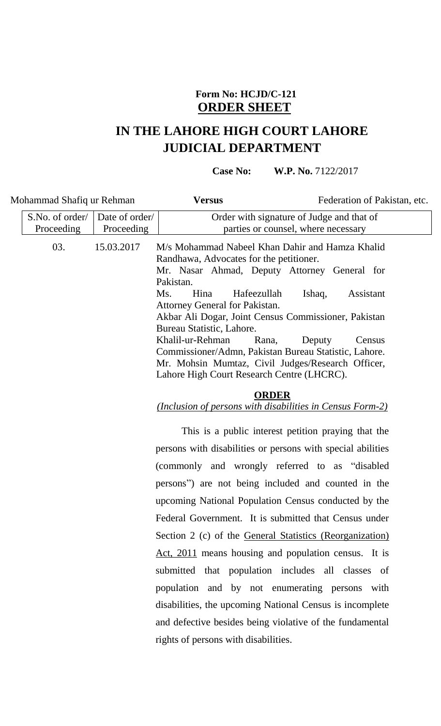## **Form No: HCJD/C-121 ORDER SHEET**

## **IN THE LAHORE HIGH COURT LAHORE JUDICIAL DEPARTMENT**

**Case No: W.P. No. 7122/2017** 

| Mohammad Shafiq ur Rehman |                               |                              | <b>Versus</b>                                                                                                                                                                                                                                                                                                                                                                                                                                                                                         | Federation of Pakistan, etc.                                                     |
|---------------------------|-------------------------------|------------------------------|-------------------------------------------------------------------------------------------------------------------------------------------------------------------------------------------------------------------------------------------------------------------------------------------------------------------------------------------------------------------------------------------------------------------------------------------------------------------------------------------------------|----------------------------------------------------------------------------------|
|                           | S.No. of order/<br>Proceeding | Date of order/<br>Proceeding |                                                                                                                                                                                                                                                                                                                                                                                                                                                                                                       | Order with signature of Judge and that of<br>parties or counsel, where necessary |
|                           | 03.                           | 15.03.2017                   | M/s Mohammad Nabeel Khan Dahir and Hamza Khalid<br>Randhawa, Advocates for the petitioner.<br>Mr. Nasar Ahmad, Deputy Attorney General for<br>Pakistan.<br>Ms.<br>Hina<br>Hafeezullah<br>Attorney General for Pakistan.<br>Akbar Ali Dogar, Joint Census Commissioner, Pakistan<br>Bureau Statistic, Lahore.<br>Khalil-ur-Rehman<br>Rana,<br>Commissioner/Admn, Pakistan Bureau Statistic, Lahore.<br>Mr. Mohsin Mumtaz, Civil Judges/Research Officer,<br>Lahore High Court Research Centre (LHCRC). | Assistant<br>Ishaq,<br>Deputy<br>Census                                          |
|                           |                               |                              |                                                                                                                                                                                                                                                                                                                                                                                                                                                                                                       |                                                                                  |

## **ORDER**

*(Inclusion of persons with disabilities in Census Form-2)*

This is a public interest petition praying that the persons with disabilities or persons with special abilities (commonly and wrongly referred to as "disabled persons") are not being included and counted in the upcoming National Population Census conducted by the Federal Government. It is submitted that Census under Section 2 (c) of the General Statistics (Reorganization) Act, 2011 means housing and population census. It is submitted that population includes all classes of population and by not enumerating persons with disabilities, the upcoming National Census is incomplete and defective besides being violative of the fundamental rights of persons with disabilities.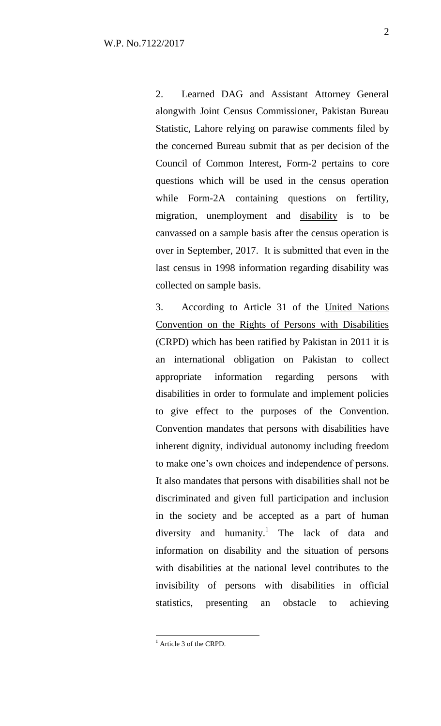2. Learned DAG and Assistant Attorney General alongwith Joint Census Commissioner, Pakistan Bureau Statistic, Lahore relying on parawise comments filed by the concerned Bureau submit that as per decision of the Council of Common Interest, Form-2 pertains to core questions which will be used in the census operation while Form-2A containing questions on fertility, migration, unemployment and disability is to be canvassed on a sample basis after the census operation is over in September, 2017. It is submitted that even in the last census in 1998 information regarding disability was collected on sample basis.

3. According to Article 31 of the United Nations Convention on the Rights of Persons with Disabilities (CRPD) which has been ratified by Pakistan in 2011 it is an international obligation on Pakistan to collect appropriate information regarding persons with disabilities in order to formulate and implement policies to give effect to the purposes of the Convention. Convention mandates that persons with disabilities have inherent dignity, individual autonomy including freedom to make one's own choices and independence of persons. It also mandates that persons with disabilities shall not be discriminated and given full participation and inclusion in the society and be accepted as a part of human diversity and humanity.<sup>1</sup> The lack of data and information on disability and the situation of persons with disabilities at the national level contributes to the invisibility of persons with disabilities in official statistics, presenting an obstacle to achieving

 $\overline{a}$ 

 $<sup>1</sup>$  Article 3 of the CRPD.</sup>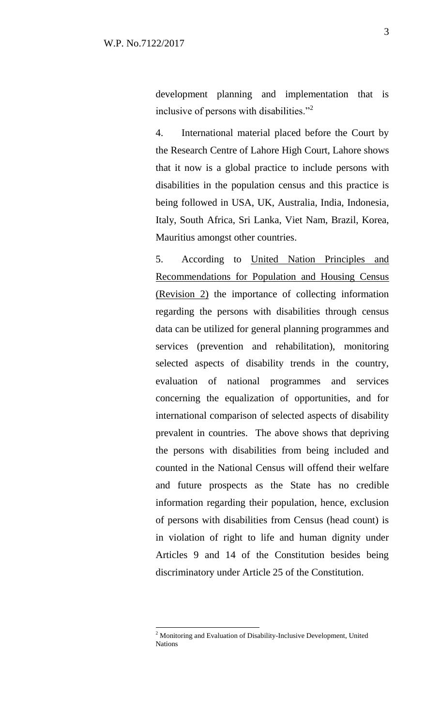development planning and implementation that is inclusive of persons with disabilities."<sup>2</sup>

4. International material placed before the Court by the Research Centre of Lahore High Court, Lahore shows that it now is a global practice to include persons with disabilities in the population census and this practice is being followed in USA, UK, Australia, India, Indonesia, Italy, South Africa, Sri Lanka, Viet Nam, Brazil, Korea, Mauritius amongst other countries.

5. According to United Nation Principles and Recommendations for Population and Housing Census (Revision 2) the importance of collecting information regarding the persons with disabilities through census data can be utilized for general planning programmes and services (prevention and rehabilitation), monitoring selected aspects of disability trends in the country, evaluation of national programmes and services concerning the equalization of opportunities, and for international comparison of selected aspects of disability prevalent in countries. The above shows that depriving the persons with disabilities from being included and counted in the National Census will offend their welfare and future prospects as the State has no credible information regarding their population, hence, exclusion of persons with disabilities from Census (head count) is in violation of right to life and human dignity under Articles 9 and 14 of the Constitution besides being discriminatory under Article 25 of the Constitution.

 $\overline{a}$ 

 $2$  Monitoring and Evaluation of Disability-Inclusive Development, United Nations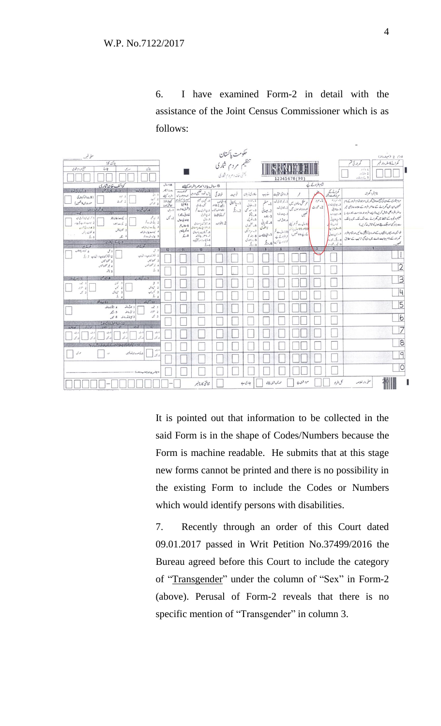6. I have examined Form-2 in detail with the assistance of the Joint Census Commissioner which is as follows:



It is pointed out that information to be collected in the said Form is in the shape of Codes/Numbers because the Form is machine readable. He submits that at this stage new forms cannot be printed and there is no possibility in the existing Form to include the Codes or Numbers which would identify persons with disabilities.

7. Recently through an order of this Court dated 09.01.2017 passed in Writ Petition No.37499/2016 the Bureau agreed before this Court to include the category of "Transgender" under the column of "Sex" in Form-2 (above). Perusal of Form-2 reveals that there is no specific mention of "Transgender" in column 3.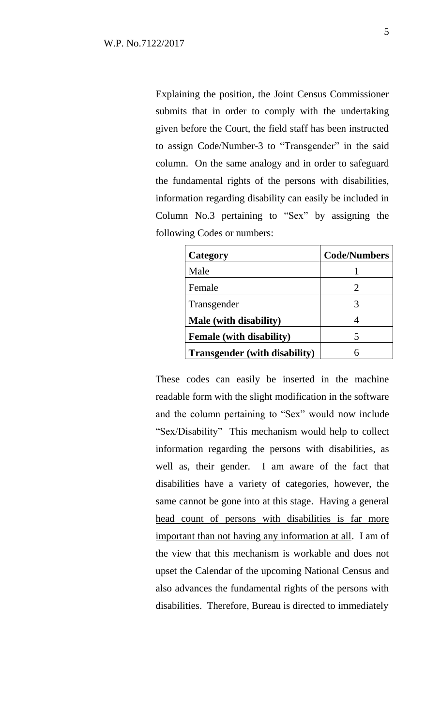Explaining the position, the Joint Census Commissioner submits that in order to comply with the undertaking given before the Court, the field staff has been instructed to assign Code/Number-3 to "Transgender" in the said column. On the same analogy and in order to safeguard the fundamental rights of the persons with disabilities, information regarding disability can easily be included in Column No.3 pertaining to "Sex" by assigning the following Codes or numbers:

| Category                             | <b>Code/Numbers</b> |
|--------------------------------------|---------------------|
| Male                                 |                     |
| Female                               | 2                   |
| Transgender                          |                     |
| <b>Male</b> (with disability)        |                     |
| <b>Female</b> (with disability)      | 5                   |
| <b>Transgender</b> (with disability) |                     |

These codes can easily be inserted in the machine readable form with the slight modification in the software and the column pertaining to "Sex" would now include "Sex/Disability" This mechanism would help to collect information regarding the persons with disabilities, as well as, their gender. I am aware of the fact that disabilities have a variety of categories, however, the same cannot be gone into at this stage. Having a general head count of persons with disabilities is far more important than not having any information at all. I am of the view that this mechanism is workable and does not upset the Calendar of the upcoming National Census and also advances the fundamental rights of the persons with disabilities. Therefore, Bureau is directed to immediately